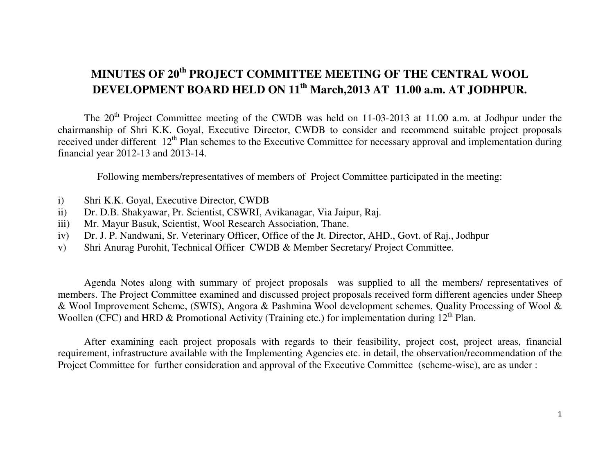# **MINUTES OF 20th PROJECT COMMITTEE MEETING OF THE CENTRAL WOOL DEVELOPMENT BOARD HELD ON 11th March,2013 AT 11.00 a.m. AT JODHPUR.**

The 20<sup>th</sup> Project Committee meeting of the CWDB was held on 11-03-2013 at 11.00 a.m. at Jodhpur under the chairmanship of Shri K.K. Goyal, Executive Director, CWDB to consider and recommend suitable project proposals received under different 12<sup>th</sup> Plan schemes to the Executive Committee for necessary approval and implementation during financial year 2012-13 and 2013-14.

Following members/representatives of members of Project Committee participated in the meeting:

- i) Shri K.K. Goyal, Executive Director, CWDB
- ii) Dr. D.B. Shakyawar, Pr. Scientist, CSWRI, Avikanagar, Via Jaipur, Raj.
- iii) Mr. Mayur Basuk, Scientist, Wool Research Association, Thane.
- iv) Dr. J. P. Nandwani, Sr. Veterinary Officer, Office of the Jt. Director, AHD., Govt. of Raj., Jodhpur
- v) Shri Anurag Purohit, Technical Officer CWDB & Member Secretary/ Project Committee.

 Agenda Notes along with summary of project proposals was supplied to all the members/ representatives of members. The Project Committee examined and discussed project proposals received form different agencies under Sheep & Wool Improvement Scheme, (SWIS), Angora & Pashmina Wool development schemes, Quality Processing of Wool & Woollen (CFC) and HRD & Promotional Activity (Training etc.) for implementation during  $12<sup>th</sup>$  Plan.

 After examining each project proposals with regards to their feasibility, project cost, project areas, financial requirement, infrastructure available with the Implementing Agencies etc. in detail, the observation/recommendation of the Project Committee for further consideration and approval of the Executive Committee (scheme-wise), are as under :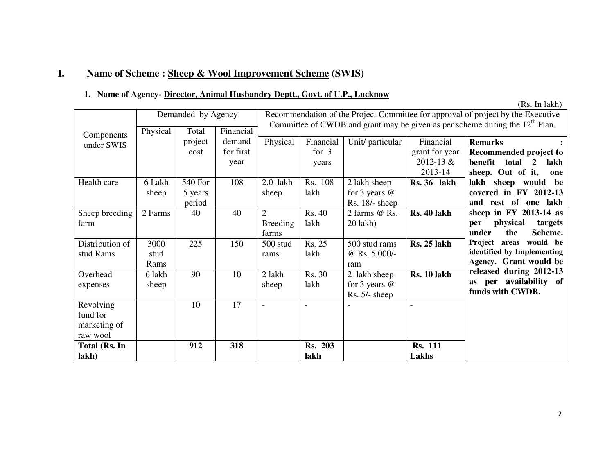## **I. Name of Scheme : Sheep & Wool Improvement Scheme (SWIS)**

#### **1. Name of Agency- Director, Animal Husbandry Deptt., Govt. of U.P., Lucknow**

|                                                   |                      |                              |                             |                                                                                                                                                                    |                               |                                                     |                                                     | (Rs. In lakh)                                                                                                      |
|---------------------------------------------------|----------------------|------------------------------|-----------------------------|--------------------------------------------------------------------------------------------------------------------------------------------------------------------|-------------------------------|-----------------------------------------------------|-----------------------------------------------------|--------------------------------------------------------------------------------------------------------------------|
|                                                   | Physical             | Demanded by Agency<br>Total  | Financial                   | Recommendation of the Project Committee for approval of project by the Executive<br>Committee of CWDB and grant may be given as per scheme during the $12th$ Plan. |                               |                                                     |                                                     |                                                                                                                    |
| Components<br>under SWIS                          |                      | project<br>cost              | demand<br>for first<br>year | Physical                                                                                                                                                           | Financial<br>for $3$<br>years | Unit/ particular                                    | Financial<br>grant for year<br>2012-13 &<br>2013-14 | <b>Remarks</b><br>Recommended project to<br>benefit<br>total<br>$\overline{2}$<br>lakh<br>sheep. Out of it,<br>one |
| Health care                                       | 6 Lakh<br>sheep      | 540 For<br>5 years<br>period | 108                         | $2.0$ lakh<br>sheep                                                                                                                                                | Rs. 108<br>lakh               | 2 lakh sheep<br>for 3 years $@$<br>$Rs. 18/- sheep$ | Rs. 36 lakh                                         | lakh sheep would be<br>covered in FY 2012-13<br>and rest of one lakh                                               |
| Sheep breeding<br>farm                            | 2 Farms              | 40                           | 40                          | $\overline{2}$<br><b>Breeding</b><br>farms                                                                                                                         | Rs. 40<br>lakh                | 2 farms @ Rs.<br>$20$ lakh $)$                      | Rs. 40 lakh                                         | sheep in $FY$ 2013-14 as<br>physical<br>targets<br>per<br>under<br>the<br>Scheme.                                  |
| Distribution of<br>stud Rams                      | 3000<br>stud<br>Rams | 225                          | 150                         | 500 stud<br>rams                                                                                                                                                   | Rs. 25<br>lakh                | 500 stud rams<br>@ Rs. $5,000/-$<br>ram             | <b>Rs. 25 lakh</b>                                  | Project areas would be<br>identified by Implementing<br>Agency. Grant would be                                     |
| Overhead<br>expenses                              | 6 lakh<br>sheep      | 90                           | 10                          | 2 lakh<br>sheep                                                                                                                                                    | <b>Rs. 30</b><br>lakh         | 2 lakh sheep<br>for 3 years $@$<br>$Rs. 5/- sheep$  | Rs. 10 lakh                                         | released during 2012-13<br>as per availability of<br>funds with CWDB.                                              |
| Revolving<br>fund for<br>marketing of<br>raw wool |                      | 10                           | 17                          | $\blacksquare$                                                                                                                                                     |                               |                                                     |                                                     |                                                                                                                    |
| Total (Rs. In<br>lakh)                            |                      | 912                          | 318                         |                                                                                                                                                                    | <b>Rs. 203</b><br>lakh        |                                                     | <b>Rs. 111</b><br>Lakhs                             |                                                                                                                    |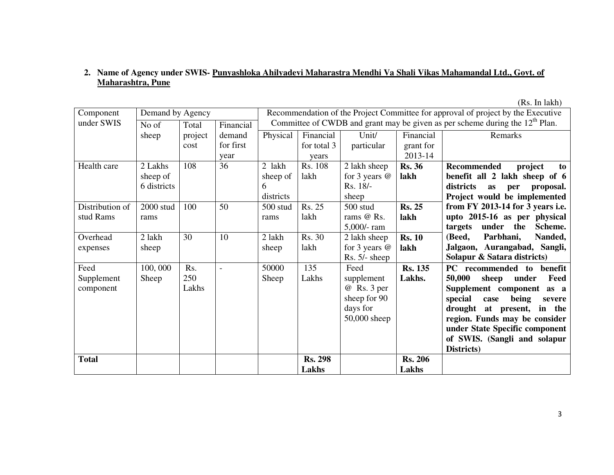### **2. Name of Agency under SWIS- Punyashloka Ahilyadevi Maharastra Mendhi Va Shali Vikas Mahamandal Ltd., Govt. of Maharashtra, Pune**

(Rs. In lakh)Demand by Agency Recommendation of the Project Committee for approval of project by the Executive Component under SWIS No of  $\Box$  Total Financial Committee of CWDB and grant may be given as per scheme during the 12<sup>th</sup> Plan. sheep Total project cost Financial demand for first year Physical Financial for total 3 years Rs. 108 Unit/ particular Financial grant for 2013-14 Remarks Health care 2 Lakhs sheep of 6 districts 108 36 2 lakh sheep of 6 districts 100 50 500 stud lakh 2 lakh sheep for 3 years @ Rs. 18/ sheep 500 stud **Rs. 36 lakh Recommended project to benefit all 2 lakh sheep of 6 districts as per proposal. Project would be implemented from FY 2013-14 for 3 years i.e. upto 2015-16 as per physical targets under the Scheme. (Beed, Parbhani, Nanded, Jalgaon, Aurangabad, Sangli, Solapur & Satara districts)** Distribution of stud Rams 2000 stud rams rams Rs. 25 lakh rams @ Rs. 5,000/- ram 2 lakh sheep **Rs. 25 lakh** Overhead expenses 2 lakh sheep 30 <sup>10</sup> 2 lakh sheep Rs. 30 lakh for 3 years @ Rs. 5/- sheep **Rs. 10 lakh** Feed Supplement component 100, 000 Sheep Rs. 250 Lakhs 50000 Sheep 135 Lakhs Feed supplement @ Rs. 3 per sheep for 90 days for 50,000 sheep  **Rs. 135 Lakhs. PC recommended to benefit 50,000 sheep under Feed Supplement component as a special case being severe drought at present, in the region. Funds may be consider under State Specific component of SWIS. (Sangli and solapur Districts)** Total Rs. 298 **Lakhs Rs. 206 Lakhs** 

3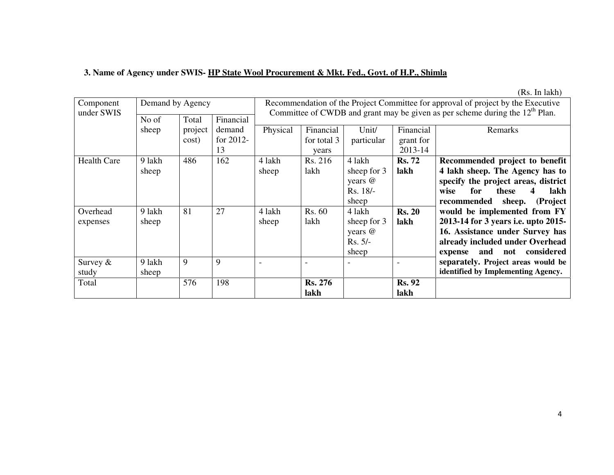## **3. Name of Agency under SWIS- HP State Wool Procurement & Mkt. Fed., Govt. of H.P., Shimla**

(Rs. In lakh)

| Component<br>under SWIS | Demand by Agency |         |              | Recommendation of the Project Committee for approval of project by the Executive<br>Committee of CWDB and grant may be given as per scheme during the $12th$ Plan.<br>Financial |                |             |               |                                     |
|-------------------------|------------------|---------|--------------|---------------------------------------------------------------------------------------------------------------------------------------------------------------------------------|----------------|-------------|---------------|-------------------------------------|
|                         | No of            | Total   |              |                                                                                                                                                                                 |                |             |               |                                     |
|                         | sheep            | project | demand       | Physical                                                                                                                                                                        | Financial      | Unit/       | Financial     | Remarks                             |
|                         |                  | cost)   | for $2012$ - |                                                                                                                                                                                 | for total 3    | particular  | grant for     |                                     |
|                         |                  |         | 13           |                                                                                                                                                                                 | years          |             | 2013-14       |                                     |
| <b>Health Care</b>      | 9 lakh           | 486     | 162          | 4 lakh                                                                                                                                                                          | Rs. 216        | 4 lakh      | <b>Rs. 72</b> | Recommended project to benefit      |
|                         | sheep            |         |              | sheep                                                                                                                                                                           | lakh           | sheep for 3 | lakh          | 4 lakh sheep. The Agency has to     |
|                         |                  |         |              |                                                                                                                                                                                 |                | years @     |               | specify the project areas, district |
|                         |                  |         |              |                                                                                                                                                                                 |                | Rs. 18/-    |               | for<br>lakh<br>these<br>wise        |
|                         |                  |         |              |                                                                                                                                                                                 |                | sheep       |               | sheep.<br>(Project<br>recommended   |
| Overhead                | 9 lakh           | 81      | 27           | 4 lakh                                                                                                                                                                          | Rs. 60         | 4 lakh      | <b>Rs. 20</b> | would be implemented from FY        |
| expenses                | sheep            |         |              | sheep                                                                                                                                                                           | lakh           | sheep for 3 | lakh          | 2013-14 for 3 years i.e. upto 2015- |
|                         |                  |         |              |                                                                                                                                                                                 |                | years @     |               | 16. Assistance under Survey has     |
|                         |                  |         |              |                                                                                                                                                                                 |                | $Rs. 5/-$   |               | already included under Overhead     |
|                         |                  |         |              |                                                                                                                                                                                 |                | sheep       |               | considered<br>and<br>not<br>expense |
| Survey $\&$             | 9 lakh           | 9       | 9            |                                                                                                                                                                                 |                |             |               | separately. Project areas would be  |
| study                   | sheep            |         |              |                                                                                                                                                                                 |                |             |               | identified by Implementing Agency.  |
| Total                   |                  | 576     | 198          |                                                                                                                                                                                 | <b>Rs. 276</b> |             | <b>Rs. 92</b> |                                     |
|                         |                  |         |              |                                                                                                                                                                                 | lakh           |             | lakh          |                                     |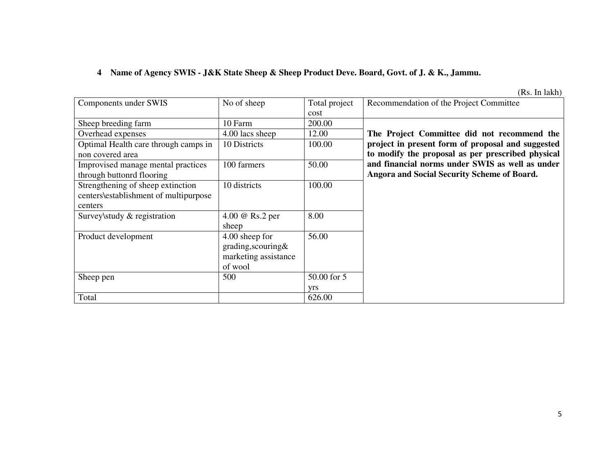## **4 Name of Agency SWIS - J&K State Sheep & Sheep Product Deve. Board, Govt. of J. & K., Jammu.**

(Rs. In lakh)

| Components under SWIS                                                                 | No of sheep                                                             | Total project<br>cost | Recommendation of the Project Committee                                                                |
|---------------------------------------------------------------------------------------|-------------------------------------------------------------------------|-----------------------|--------------------------------------------------------------------------------------------------------|
| Sheep breeding farm                                                                   | 10 Farm                                                                 | 200.00                |                                                                                                        |
| Overhead expenses                                                                     | 4.00 lacs sheep                                                         | 12.00                 | The Project Committee did not recommend the                                                            |
| Optimal Health care through camps in<br>non covered area                              | 10 Districts                                                            | 100.00                | project in present form of proposal and suggested<br>to modify the proposal as per prescribed physical |
| Improvised manage mental practices<br>through buttonrd flooring                       | 100 farmers                                                             | 50.00                 | and financial norms under SWIS as well as under<br>Angora and Social Security Scheme of Board.         |
| Strengthening of sheep extinction<br>centers\establishment of multipurpose<br>centers | 10 districts                                                            | 100.00                |                                                                                                        |
| Survey\study & registration                                                           | 4.00 @ Rs.2 per<br>sheep                                                | 8.00                  |                                                                                                        |
| Product development                                                                   | 4.00 sheep for<br>grading, scouring&<br>marketing assistance<br>of wool | 56.00                 |                                                                                                        |
| Sheep pen                                                                             | 500                                                                     | 50.00 for 5<br>yrs    |                                                                                                        |
| Total                                                                                 |                                                                         | 626.00                |                                                                                                        |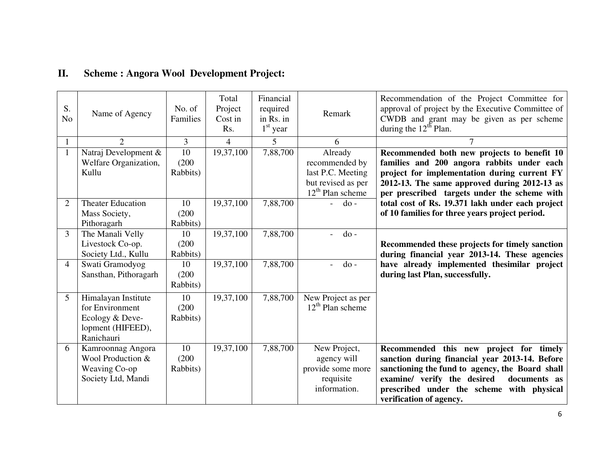| S.<br>N <sub>o</sub> | Name of Agency                                                                               | No. of<br>Families      | Total<br>Project<br>Cost in<br>Rs. | Financial<br>required<br>in Rs. in<br>$1st$ year | Remark                                                                                     | Recommendation of the Project Committee for<br>approval of project by the Executive Committee of<br>CWDB and grant may be given as per scheme<br>during the $12^{th}$ Plan.                                                                                         |
|----------------------|----------------------------------------------------------------------------------------------|-------------------------|------------------------------------|--------------------------------------------------|--------------------------------------------------------------------------------------------|---------------------------------------------------------------------------------------------------------------------------------------------------------------------------------------------------------------------------------------------------------------------|
|                      | $\overline{2}$                                                                               | 3                       | $\overline{4}$                     | 5                                                | 6                                                                                          |                                                                                                                                                                                                                                                                     |
|                      | Natraj Development &<br>Welfare Organization,<br>Kullu                                       | 10<br>(200)<br>Rabbits) | 19,37,100                          | 7,88,700                                         | Already<br>recommended by<br>last P.C. Meeting<br>but revised as per<br>$12th$ Plan scheme | Recommended both new projects to benefit 10<br>families and 200 angora rabbits under each<br>project for implementation during current FY<br>2012-13. The same approved during 2012-13 as<br>per prescribed targets under the scheme with                           |
| 2                    | <b>Theater Education</b><br>Mass Society,<br>Pithoragarh                                     | 10<br>(200)<br>Rabbits) | 19,37,100                          | 7,88,700                                         | $do -$                                                                                     | total cost of Rs. 19.371 lakh under each project<br>of 10 families for three years project period.                                                                                                                                                                  |
| 3                    | The Manali Velly<br>Livestock Co-op.<br>Society Ltd., Kullu                                  | 10<br>(200)<br>Rabbits) | 19,37,100                          | 7,88,700                                         | $d$ o -                                                                                    | Recommended these projects for timely sanction<br>during financial year 2013-14. These agencies                                                                                                                                                                     |
| $\overline{A}$       | Swati Gramodyog<br>Sansthan, Pithoragarh                                                     | 10<br>(200)<br>Rabbits) | 19,37,100                          | 7,88,700                                         | $d$ o -                                                                                    | have already implemented the similar project<br>during last Plan, successfully.                                                                                                                                                                                     |
| 5                    | Himalayan Institute<br>for Environment<br>Ecology & Deve-<br>lopment (HIFEED),<br>Ranichauri | 10<br>(200)<br>Rabbits) | 19,37,100                          | 7,88,700                                         | New Project as per<br>$12th$ Plan scheme                                                   |                                                                                                                                                                                                                                                                     |
| 6                    | Kamroonnag Angora<br>Wool Production &<br>Weaving Co-op<br>Society Ltd, Mandi                | 10<br>(200)<br>Rabbits) | 19,37,100                          | 7,88,700                                         | New Project,<br>agency will<br>provide some more<br>requisite<br>information.              | Recommended this new project for timely<br>sanction during financial year 2013-14. Before<br>sanctioning the fund to agency, the Board shall<br>examine/ verify the desired<br>documents as<br>prescribed under the scheme with physical<br>verification of agency. |

#### **II.Scheme : Angora Wool Development Project:**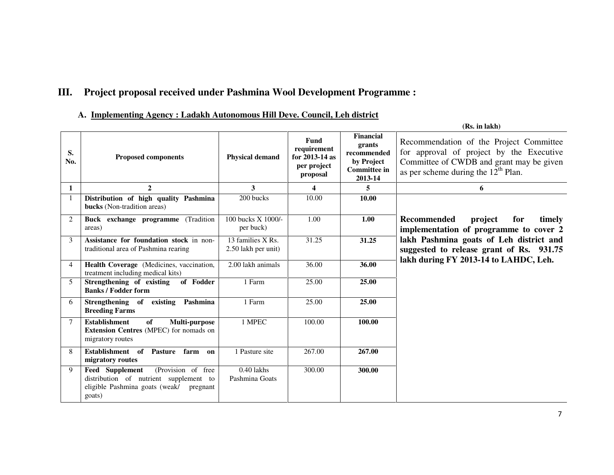## **III. Project proposal received under Pashmina Wool Development Programme :**

#### **A. Implementing Agency : Ladakh Autonomous Hill Deve. Council, Leh district**

|                |                                                                                                                                         |                                          |                                                                           |                                                                                    | (Rs. in lakh)                                                                                                                                                            |
|----------------|-----------------------------------------------------------------------------------------------------------------------------------------|------------------------------------------|---------------------------------------------------------------------------|------------------------------------------------------------------------------------|--------------------------------------------------------------------------------------------------------------------------------------------------------------------------|
| S.<br>No.      | <b>Proposed components</b>                                                                                                              | <b>Physical demand</b>                   | <b>Fund</b><br>requirement<br>for $2013-14$ as<br>per project<br>proposal | Financial<br>grants<br>recommended<br>by Project<br><b>Committee in</b><br>2013-14 | Recommendation of the Project Committee<br>for approval of project by the Executive<br>Committee of CWDB and grant may be given<br>as per scheme during the $12th$ Plan. |
| $\mathbf{1}$   | $\mathbf{2}$                                                                                                                            | 3                                        | 4                                                                         | 5                                                                                  | 6                                                                                                                                                                        |
|                | Distribution of high quality Pashmina<br>bucks (Non-tradition areas)                                                                    | 200 bucks                                | 10.00                                                                     | 10.00                                                                              |                                                                                                                                                                          |
| $\overline{2}$ | Buck exchange programme (Tradition<br>areas)                                                                                            | 100 bucks X 1000/-<br>per buck)          | 1.00                                                                      | 1.00                                                                               | <b>Recommended</b><br>project<br>for<br>timely<br>implementation of programme to cover 2                                                                                 |
| $\mathbf{3}$   | Assistance for foundation stock in non-<br>traditional area of Pashmina rearing                                                         | 13 families X Rs.<br>2.50 lakh per unit) | 31.25                                                                     | 31.25                                                                              | lakh Pashmina goats of Leh district and<br>suggested to release grant of Rs. 931.75<br>lakh during FY 2013-14 to LAHDC, Leh.                                             |
| $\overline{4}$ | Health Coverage (Medicines, vaccination,<br>treatment including medical kits)                                                           | 2.00 lakh animals                        | 36.00                                                                     | 36.00                                                                              |                                                                                                                                                                          |
| 5              | Strengthening of existing<br>of Fodder<br><b>Banks / Fodder form</b>                                                                    | 1 Farm                                   | 25.00                                                                     | 25.00                                                                              |                                                                                                                                                                          |
| 6              | Strengthening of existing<br>Pashmina<br><b>Breeding Farms</b>                                                                          | 1 Farm                                   | 25.00                                                                     | 25.00                                                                              |                                                                                                                                                                          |
| 7              | <b>Establishment</b><br>of<br>Multi-purpose<br>Extension Centres (MPEC) for nomads on<br>migratory routes                               | 1 MPEC                                   | 100.00                                                                    | 100.00                                                                             |                                                                                                                                                                          |
| 8              | Establishment of<br>Pasture<br>farm<br>on<br>migratory routes                                                                           | 1 Pasture site                           | 267.00                                                                    | 267.00                                                                             |                                                                                                                                                                          |
| 9              | (Provision of free<br>Feed Supplement<br>distribution of nutrient supplement to<br>eligible Pashmina goats (weak/<br>pregnant<br>goats) | $0.40$ lakhs<br>Pashmina Goats           | 300.00                                                                    | 300.00                                                                             |                                                                                                                                                                          |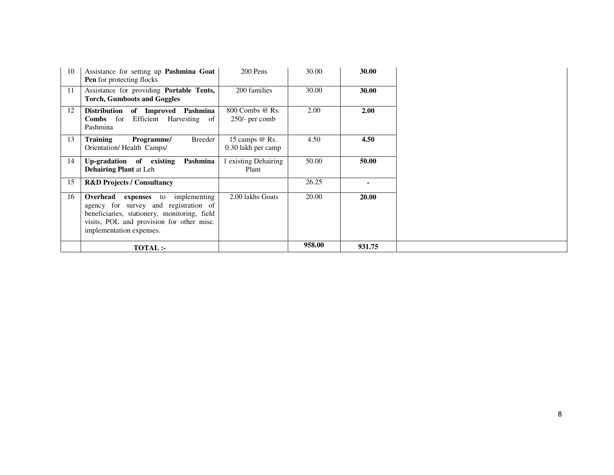| 10<br>Assistance for setting up <b>Pashmina Goat</b><br><b>Pen</b> for protecting flocks                                                                                                                           | 200 Pens                               | 30.00  | 30.00  |
|--------------------------------------------------------------------------------------------------------------------------------------------------------------------------------------------------------------------|----------------------------------------|--------|--------|
| Assistance for providing Portable Tents,<br>11<br><b>Torch, Gumboots and Goggles</b>                                                                                                                               | 200 families                           | 30.00  | 30.00  |
| 12<br>Distribution of Improved Pashmina<br>Efficient Harvesting<br><b>Combs</b> for<br>of<br>Pashmina                                                                                                              | 800 Combs @ Rs.<br>$250/-$ per comb    | 2.00   | 2.00   |
| 13<br>Breeder<br><b>Training</b><br>Programme/<br>Orientation/Health Camps/                                                                                                                                        | 15 camps $@$ Rs.<br>0.30 lakh per camp | 4.50   | 4.50   |
| 14<br>Pashmina<br>Up-gradation of existing<br><b>Dehairing Plant at Leh</b>                                                                                                                                        | existing Dehairing<br>Plant            | 50.00  | 50.00  |
| 15<br><b>R&amp;D Projects / Consultancy</b>                                                                                                                                                                        |                                        | 26.25  |        |
| 16<br>Overhead<br>implementing<br>expenses<br>to<br>agency for survey and registration of<br>beneficiaries, stationery, monitoring, field<br>visits, POL and provision for other misc.<br>implementation expenses. | 2.00 lakhs Goats                       | 20.00  | 20.00  |
| <b>TOTAL:-</b>                                                                                                                                                                                                     |                                        | 958.00 | 931.75 |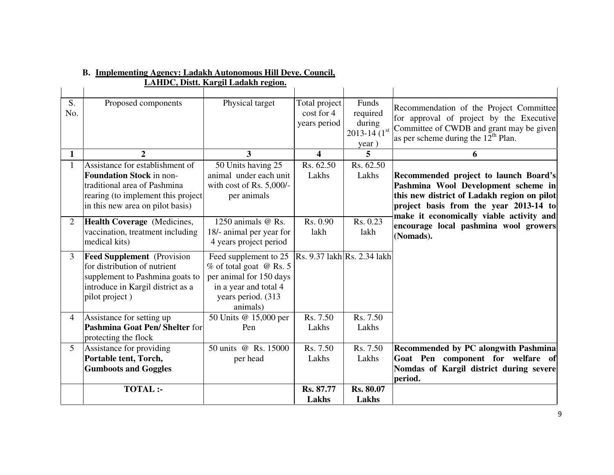|                |                                                                                                                                                                              | LAHDC, Distt. Kargil Ladakh region.                                                                                                     |                                             |                                                            |                                                                                                                                                                          |
|----------------|------------------------------------------------------------------------------------------------------------------------------------------------------------------------------|-----------------------------------------------------------------------------------------------------------------------------------------|---------------------------------------------|------------------------------------------------------------|--------------------------------------------------------------------------------------------------------------------------------------------------------------------------|
| S.<br>No.      | Proposed components                                                                                                                                                          | Physical target                                                                                                                         | Total project<br>cost for 4<br>years period | Funds<br>required<br>during<br>$2013 - 14(1^{st}$<br>year) | Recommendation of the Project Committee<br>for approval of project by the Executive<br>Committee of CWDB and grant may be given<br>as per scheme during the $12th$ Plan. |
| $\mathbf{1}$   | $\overline{2}$                                                                                                                                                               | 3                                                                                                                                       | $\overline{\mathbf{4}}$                     | 5                                                          | 6                                                                                                                                                                        |
| $\mathbf{1}$   | Assistance for establishment of<br><b>Foundation Stock in non-</b><br>traditional area of Pashmina<br>rearing (to implement this project<br>in this new area on pilot basis) | 50 Units having 25<br>animal under each unit<br>with cost of Rs. 5,000/-<br>per animals                                                 | Rs. 62.50<br>Lakhs                          | Rs. 62.50<br>Lakhs                                         | Recommended project to launch Board's<br>Pashmina Wool Development scheme in<br>this new district of Ladakh region on pilot<br>project basis from the year 2013-14 to    |
| $\overline{2}$ | Health Coverage (Medicines,<br>vaccination, treatment including<br>medical kits)                                                                                             | 1250 animals @ Rs.<br>18/- animal per year for<br>4 years project period                                                                | Rs. 0.90<br>lakh                            | Rs. 0.23<br>lakh                                           | make it economically viable activity and<br>encourage local pashmina wool growers<br>(Nomads).                                                                           |
| 3              | <b>Feed Supplement</b> (Provision<br>for distribution of nutrient<br>supplement to Pashmina goats to<br>introduce in Kargil district as a<br>pilot project)                  | Feed supplement to 25<br>% of total goat @ Rs. 5<br>per animal for 150 days<br>in a year and total 4<br>years period. (313)<br>animals) |                                             | Rs. 9.37 lakh Rs. 2.34 lakh                                |                                                                                                                                                                          |
| $\overline{4}$ | Assistance for setting up<br>Pashmina Goat Pen/Shelter for<br>protecting the flock                                                                                           | 50 Units @ 15,000 per<br>Pen                                                                                                            | Rs. 7.50<br>Lakhs                           | Rs. 7.50<br>Lakhs                                          |                                                                                                                                                                          |
| 5 <sup>5</sup> | Assistance for providing<br>Portable tent, Torch,<br><b>Gumboots and Goggles</b>                                                                                             | 50 units @ Rs. 15000<br>per head                                                                                                        | Rs. 7.50<br>Lakhs                           | Rs. 7.50<br>Lakhs                                          | Recommended by PC alongwith Pashmina<br>Goat Pen component for welfare of<br>Nomdas of Kargil district during severe<br>period.                                          |
|                | <b>TOTAL:-</b>                                                                                                                                                               |                                                                                                                                         | Rs. 87.77<br>Lakhs                          | <b>Rs. 80.07</b><br>Lakhs                                  |                                                                                                                                                                          |

#### **B. Implementing Agency: Ladakh Autonomous Hill Deve. Council,**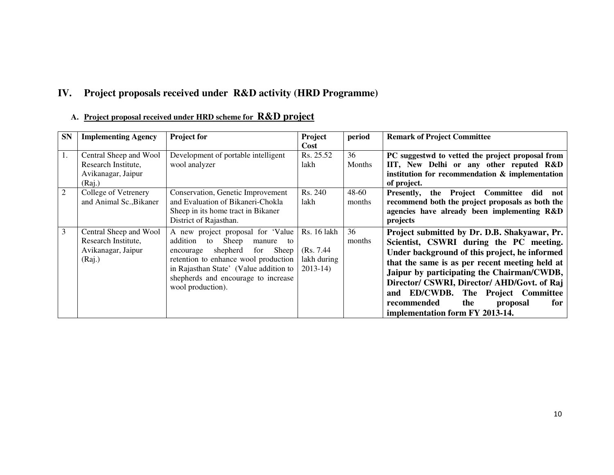## **IV. Project proposals received under R&D activity (HRD Programme)**

| <b>SN</b>      | <b>Implementing Agency</b>                                                    | <b>Project for</b>                                                                                                                                                                                                                                                   | Project<br>Cost                                         | period              | <b>Remark of Project Committee</b>                                                                                                                                                                                                                                                                                                                                                                        |
|----------------|-------------------------------------------------------------------------------|----------------------------------------------------------------------------------------------------------------------------------------------------------------------------------------------------------------------------------------------------------------------|---------------------------------------------------------|---------------------|-----------------------------------------------------------------------------------------------------------------------------------------------------------------------------------------------------------------------------------------------------------------------------------------------------------------------------------------------------------------------------------------------------------|
| 1.             | Central Sheep and Wool<br>Research Institute,<br>Avikanagar, Jaipur<br>(Raj.) | Development of portable intelligent<br>wool analyzer                                                                                                                                                                                                                 | Rs. 25.52<br>lakh                                       | 36<br><b>Months</b> | PC suggestwd to vetted the project proposal from<br>IIT, New Delhi or any other reputed R&D<br>institution for recommendation & implementation<br>of project.                                                                                                                                                                                                                                             |
| $\overline{2}$ | College of Vetrenery<br>and Animal Sc., Bikaner                               | Conservation, Genetic Improvement<br>and Evaluation of Bikaneri-Chokla<br>Sheep in its home tract in Bikaner<br>District of Rajasthan.                                                                                                                               | Rs. 240<br>lakh                                         | 48-60<br>months     | the Project Committee did<br>Presently,<br>not<br>recommend both the project proposals as both the<br>agencies have already been implementing R&D<br>projects                                                                                                                                                                                                                                             |
| 3              | Central Sheep and Wool<br>Research Institute,<br>Avikanagar, Jaipur<br>(Raj.) | A new project proposal for 'Value'<br>Sheep<br>addition<br>to<br>manure<br>to<br>shepherd<br>for<br>Sheep<br>encourage<br>retention to enhance wool production<br>in Rajasthan State' (Value addition to<br>shepherds and encourage to increase<br>wool production). | Rs. 16 lakh<br>(Rs. 7.44)<br>lakh during<br>$2013 - 14$ | 36<br>months        | Project submitted by Dr. D.B. Shakyawar, Pr.<br>Scientist, CSWRI during the PC meeting.<br>Under background of this project, he informed<br>that the same is as per recent meeting held at<br>Jaipur by participating the Chairman/CWDB,<br>Director/ CSWRI, Director/ AHD/Govt. of Raj<br>and ED/CWDB. The Project Committee<br>recommended<br>the<br>for<br>proposal<br>implementation form FY 2013-14. |

#### **A. Project proposal received under HRD scheme for R&D project**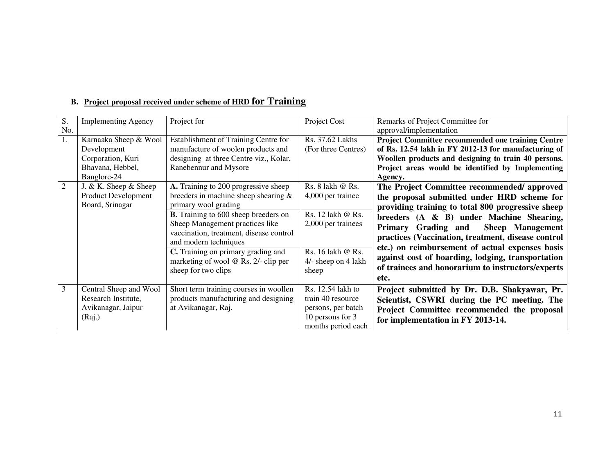| S.<br>No.      | <b>Implementing Agency</b>                                                                   | Project for                                                                                                                                                                                                                                                                                                                                                          | Project Cost                                                                                                                          | Remarks of Project Committee for<br>approval/implementation                                                                                                                                                                                                                                                                                                                                                                                                                 |
|----------------|----------------------------------------------------------------------------------------------|----------------------------------------------------------------------------------------------------------------------------------------------------------------------------------------------------------------------------------------------------------------------------------------------------------------------------------------------------------------------|---------------------------------------------------------------------------------------------------------------------------------------|-----------------------------------------------------------------------------------------------------------------------------------------------------------------------------------------------------------------------------------------------------------------------------------------------------------------------------------------------------------------------------------------------------------------------------------------------------------------------------|
| 1.             | Karnaaka Sheep & Wool<br>Development<br>Corporation, Kuri<br>Bhavana, Hebbel,<br>Banglore-24 | Establishment of Training Centre for<br>manufacture of woolen products and<br>designing at three Centre viz., Kolar,<br>Ranebennur and Mysore                                                                                                                                                                                                                        | Rs. 37.62 Lakhs<br>(For three Centres)                                                                                                | <b>Project Committee recommended one training Centre</b><br>of Rs. 12.54 lakh in FY 2012-13 for manufacturing of<br>Woollen products and designing to train 40 persons.<br>Project areas would be identified by Implementing<br>Agency.                                                                                                                                                                                                                                     |
| $\overline{2}$ | J. & K. Sheep $&$ Sheep<br>Product Development<br>Board, Srinagar                            | A. Training to 200 progressive sheep<br>breeders in machine sheep shearing $\&$<br>primary wool grading<br><b>B.</b> Training to 600 sheep breeders on<br>Sheep Management practices like<br>vaccination, treatment, disease control<br>and modern techniques<br>C. Training on primary grading and<br>marketing of wool $@$ Rs. 2/- clip per<br>sheep for two clips | Rs. 8 lakh @ Rs.<br>4,000 per trainee<br>Rs. 12 lakh @ Rs.<br>2,000 per trainees<br>Rs. 16 lakh @ Rs.<br>4/- sheep on 4 lakh<br>sheep | The Project Committee recommended/ approved<br>the proposal submitted under HRD scheme for<br>providing training to total 800 progressive sheep<br>breeders $(A \& B)$ under Machine Shearing,<br><b>Sheep</b> Management<br>Primary Grading and<br>practices (Vaccination, treatment, disease control<br>etc.) on reimbursement of actual expenses basis<br>against cost of boarding, lodging, transportation<br>of trainees and honorarium to instructors/experts<br>etc. |
| 3              | Central Sheep and Wool<br>Research Institute,<br>Avikanagar, Jaipur<br>(Raj.)                | Short term training courses in woollen<br>products manufacturing and designing<br>at Avikanagar, Raj.                                                                                                                                                                                                                                                                | Rs. 12.54 lakh to<br>train 40 resource<br>persons, per batch<br>10 persons for 3<br>months period each                                | Project submitted by Dr. D.B. Shakyawar, Pr.<br>Scientist, CSWRI during the PC meeting. The<br>Project Committee recommended the proposal<br>for implementation in FY 2013-14.                                                                                                                                                                                                                                                                                              |

### **B. Project proposal received under scheme of HRD for Training**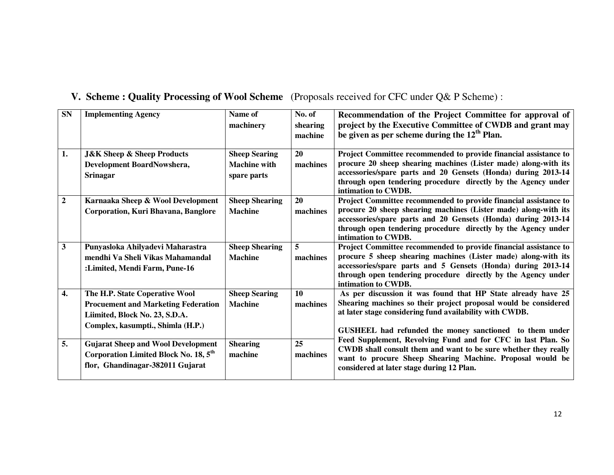| <b>SN</b>          | <b>Implementing Agency</b>                                                                                                                          | Name of<br>machinery                                       | No. of<br>shearing<br>machine | Recommendation of the Project Committee for approval of<br>project by the Executive Committee of CWDB and grant may<br>be given as per scheme during the $12th$ Plan.                                                                                                                        |
|--------------------|-----------------------------------------------------------------------------------------------------------------------------------------------------|------------------------------------------------------------|-------------------------------|----------------------------------------------------------------------------------------------------------------------------------------------------------------------------------------------------------------------------------------------------------------------------------------------|
| 1.                 | <b>J&amp;K Sheep &amp; Sheep Products</b><br>Development BoardNowshera,<br><b>Srinagar</b>                                                          | <b>Sheep Searing</b><br><b>Machine with</b><br>spare parts | 20<br>machines                | Project Committee recommended to provide financial assistance to<br>procure 20 sheep shearing machines (Lister made) along-with its<br>accessories/spare parts and 20 Gensets (Honda) during 2013-14<br>through open tendering procedure directly by the Agency under<br>intimation to CWDB. |
| $\mathbf{2}$       | Karnaaka Sheep & Wool Development<br>Corporation, Kuri Bhavana, Banglore                                                                            | <b>Sheep Shearing</b><br><b>Machine</b>                    | 20<br>machines                | Project Committee recommended to provide financial assistance to<br>procure 20 sheep shearing machines (Lister made) along-with its<br>accessories/spare parts and 20 Gensets (Honda) during 2013-14<br>through open tendering procedure directly by the Agency under<br>intimation to CWDB. |
| 3                  | Punyasloka Ahilyadevi Maharastra<br>mendhi Va Sheli Vikas Mahamandal<br>: Limited, Mendi Farm, Pune-16                                              | <b>Sheep Shearing</b><br><b>Machine</b>                    | 5<br>machines                 | Project Committee recommended to provide financial assistance to<br>procure 5 sheep shearing machines (Lister made) along-with its<br>accessories/spare parts and 5 Gensets (Honda) during 2013-14<br>through open tendering procedure directly by the Agency under<br>intimation to CWDB.   |
| $\boldsymbol{4}$ . | The H.P. State Coperative Wool<br><b>Procuement and Marketing Federation</b><br>Liimited, Block No. 23, S.D.A.<br>Complex, kasumpti., Shimla (H.P.) | <b>Sheep Searing</b><br><b>Machine</b>                     | 10<br>machines                | As per discussion it was found that HP State already have 25<br>Shearing machines so their project proposal would be considered<br>at later stage considering fund availability with CWDB.<br>GUSHEEL had refunded the money sanctioned to them under                                        |
| 5.                 | <b>Gujarat Sheep and Wool Development</b><br>Corporation Limited Block No. 18, 5 <sup>th</sup><br>flor, Ghandinagar-382011 Gujarat                  | <b>Shearing</b><br>machine                                 | 25<br>machines                | Feed Supplement, Revolving Fund and for CFC in last Plan. So<br>CWDB shall consult them and want to be sure whether they really<br>want to procure Sheep Shearing Machine. Proposal would be<br>considered at later stage during 12 Plan.                                                    |

## **V. Scheme : Quality Processing of Wool Scheme** (Proposals received for CFC under Q& P Scheme) :